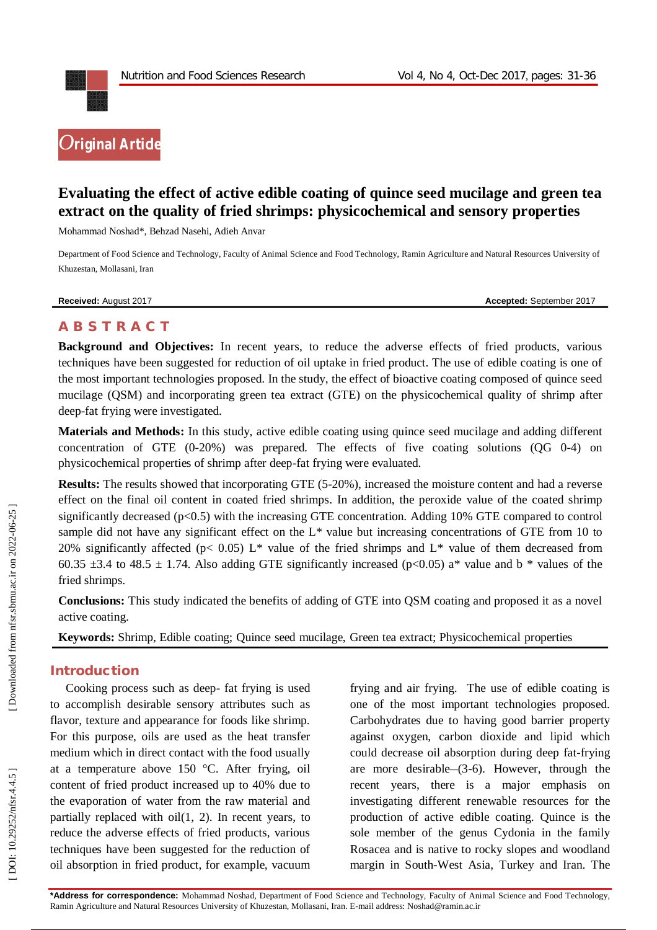

# **Evaluating the effect of active edible coating of quince seed mucilage and green tea extract on the quality of fried shrimps: physicochemical and sensory properties**

Mohammad Noshad \*, Behzad Nasehi, Adieh Anvar

Department of Food Science and Technology, Faculty of Animal Science and Food Technology, Ramin Agriculture and Natural Resources University of Khuzestan, Mollasani, Iran

**Received:** August 201

7 **Accepted:** September 201 7

# **A B S T R A C T**

**Background and Objectives:** In recent years, to reduce the adverse effects of fried products, various techniques have been suggested for reduction of oil uptake in fried product. The use of edible coating is one of the most important technologies proposed. In the study, the effect of bioactive coating composed of quince seed mucilage (QSM) and incorporating green tea extract (GTE) on the physicochemical quality of shrimp after deep -fat frying were investigated.

**Materials and Methods:** In this study, active edible coating using quince seed mucilage and adding different concentration of GTE (0 -20%) was prepared. The effects of five coating solutions (QG 0 -4) on physicochemical properties of shrimp after deep -fat frying were evaluated.

**Results:** The results showed that incorporating GTE (5-20%), increased the moisture content and had a reverse effect on the final oil content in coated fried shrimps. In addition, the peroxide value of the coated shrimp significantly decreased (p<0.5) with the increasing GTE concentration. Adding 10% GTE compared to control sample did not have any significant effect on the  $L^*$  value but increasing concentrations of GTE from 10 to 20% significantly affected (p< 0.05) L<sup>\*</sup> value of the fried shrimps and L<sup>\*</sup> value of them decreased from 60.35  $\pm$ 3.4 to 48.5  $\pm$  1.74. Also adding GTE significantly increased (p<0.05) a\* value and b \* values of the fried shrimps.

**Conclusions:** This study indicated the benefits of adding of GTE into QSM coating and proposed it as a novel active coating.

**Keywords:** Shrimp , Edible coating; Quince seed mucilage , Green tea extract; Physicochemical properties

# **Introduction**

Cooking process such as deep - fat frying is used to accomplish desirable sensory attributes such as flavor, texture and appearance for foods like shrimp. For this purpose, oils are used as the heat transfer medium which in direct contact with the food usually at a temperature above 150 °C. After frying, oil content of fried product increased up to 40% due to the evaporation of water from the raw material and partially replaced with oil(1, 2). In recent years, to reduce the adverse effects of fried products, various techniques have been suggested for the reduction of oil absorption in fried product, for example, vacuum

frying and air frying. The use of edible coating is one of the most important technologies proposed. Carbohydrates due to having good barrier property against oxygen, carbon dioxide and lipid which could decrease oil absorption during deep fat -frying are more desirable–(3-6). However, through the recent years, there is a major emphasis on investigating different renewable resources for the production of active edible coating. Quince is the sole member of the genus Cydonia in the family Rosacea and is native to rocky slopes and woodland margin in South -West Asia, Turkey and Iran. The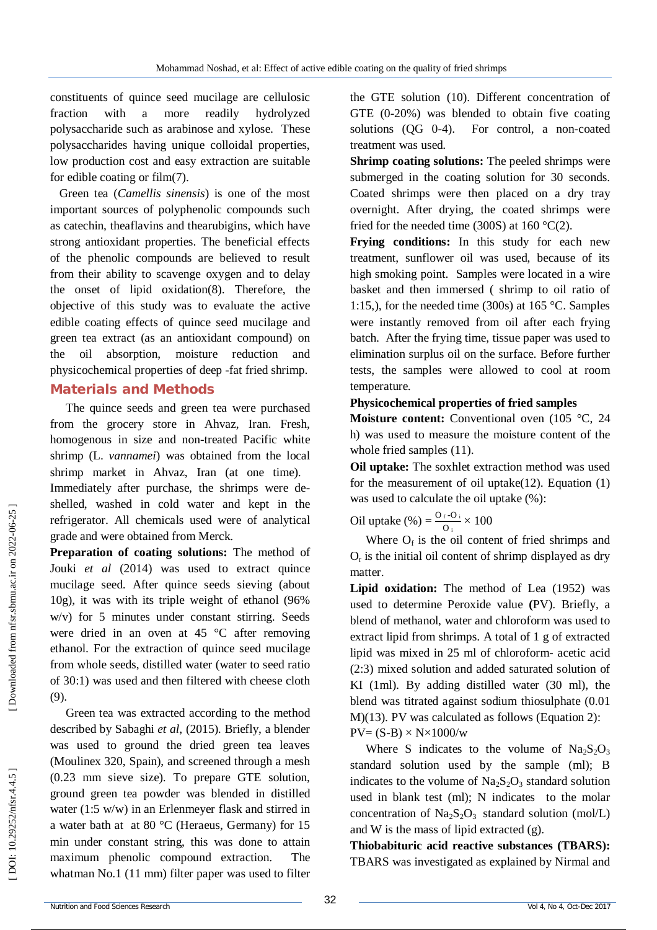constituents of quince seed mucilage are cellulosic fraction with a more readily hydrolyzed polysaccharide such as arabinose and xylose. These polysaccharides having unique colloidal properties, low production cost and easy extraction are suitable for edible coating or film(7).

Green tea (*Camellis sinensis*) is one of the most important sources of polyphenolic compounds such as catechin, theaflavins and thearubigins, which have strong antioxidant properties. The beneficial effects of the phenolic compounds are believed to result from their ability to scavenge oxygen and to delay the onset of lipid oxidation(8). Therefore, the objective of this study was to evaluate the active edible coating effects of quince seed mucilage and green tea extract (as an antioxidant compound) on the oil absorption, moisture reduction and physicochemical properties of deep -fat fried shrimp.

## **Material s and Methods**

The quince seeds and green tea were purchased from the grocery store in Ahvaz, Iran. Fresh, homogenous in size and non -treated Pacific white shrimp (L. *vannamei*) was obtained from the local shrimp market in Ahvaz, Iran (at one time). Immediately after purchase, the shrimps were deshelled, washed in cold water and kept in the refrigerator. All chemicals used were of analytical grade and were obtained from Merck.

**Preparation of coating solutions:** The method of Jouki *et al* (2014) was used to extract quince mucilage seed. After quince seeds sieving (about 10g), it was with its triple weight of ethanol (96% w/v) for 5 minutes under constant stirring. Seeds were dried in an oven at 45 °C after removing ethanol. For the extraction of quince seed mucilage from whole seeds, distilled water (water to seed ratio of 30:1) was used and then filtered with cheese cloth (9) .

Green tea was extracted according to the method described by Sabaghi *et al*, (2015). Briefly, a blender was used to ground the dried green tea leaves (Moulinex 320, Spain), and screened through a mesh (0.23 mm sieve size). To prepare GTE solution, ground green tea powder was blended in distilled water (1:5 w/w) in an Erlenmeyer flask and stirred in a water bath at at 80 °C (Heraeus, Germany) for 15 min under constant string, this was done to attain maximum phenolic compound extraction. The whatman No.1 (11 mm) filter paper was used to filter

the GTE solution (10). Different concentration of GTE (0 -20%) was blended to obtain five coating solutions  $(OG \ 0-4)$ . -4). For control, a non -coated treatment was used.

**Shrimp coating solutions:** The peeled shrimps were submerged in the coating solution for 30 seconds. Coated shrimps were then placed on a dry tray overnight. After drying, the coated shrimps were fried for the needed time (300S) at  $160^{\circ}C(2)$ .

**Frying conditions:** In this study for each new treatment, sunflower oil was used, because of its high smoking point. Samples were located in a wire basket and then immersed ( shrimp to oil ratio of 1:15,), for the needed time (300s) at 165 °C. Samples were instantly removed from oil after each frying batch. After the frying time, tissue paper was used to elimination surplus oil on the surface. Before further tests, the samples were allowed to cool at room temperature.

#### **Physicochemical properties of fried samples**

**Moisture content:** Conventional oven (105 °C, 24) h) was used to measure the moisture content of the whole fried samples (11).

**Oil uptake:** The soxhlet extraction method was used for the measurement of oil uptake $(12)$ . Equation  $(1)$ was used to calculate the oil uptake (%):

Oil uptake  $\left(\% \right) = \frac{O_f - O_i}{O}$  $\frac{1}{100} \times 100$ 

Where  $O_f$  is the oil content of fried shrimps and  $O<sub>r</sub>$  is the initial oil content of shrimp displayed as dry matter.

**Lipid oxidation:** The method of Lea (1952) was used to determine Peroxide value **(**PV). Briefly, a blend of methanol, water and chloroform was used to extract lipid from shrimps. A total of 1 g of extracted lipid was mixed in 25 ml of chloroform - acetic acid (2:3) mixed solution and added saturated solution of KI (1ml). By adding distilled water (30 ml), the blend was titrated against sodium thiosulphate (0.01 M)(13). PV was calculated as follows (Equation 2):  $PV=(S-B)\times N\times1000/w$ 

Where S indicates to the volume of  $Na<sub>2</sub>S<sub>2</sub>O<sub>3</sub>$ standard solution used by the sample (ml); B indicates to the volume of  $Na<sub>2</sub>S<sub>2</sub>O<sub>3</sub>$  standard solution used in blank test (ml); N indicates to the molar concentration of  $Na<sub>2</sub>S<sub>2</sub>O<sub>3</sub>$  standard solution (mol/L) and W is the mass of lipid extracted  $(g)$ .

**Thiobabituric acid reactive substances (TBARS) :** TBARS was investigated as explained by Nirmal and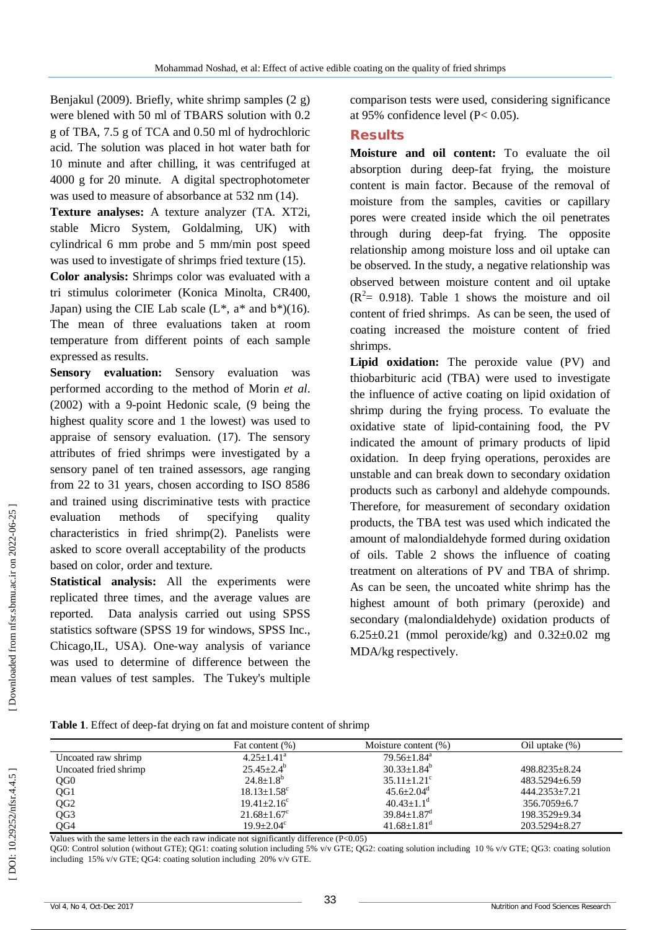Benjakul (2009). Briefly, white shrimp samples (2 g) were blened with 50 ml of TBARS solution with 0.2 g of TBA, 7.5 g of TCA and 0.50 ml of hydrochloric acid. The solution was placed in hot water bath for 10 minute and after chilling, it was centrifuged at 4000 g for 20 minute. A digital spectrophotometer was used to measure of absorbance at 532 nm (14).

**Texture analyses:** A texture analyzer (TA. XT2i, stable Micro System, Goldalming, UK) with cylindrical 6 mm probe and 5 mm/min post speed was used to investigate of shrimps fried texture (15).

**Color analysis:** Shrimps color was evaluated with a tri stimulus colorimeter (Konica Minolta, CR400, Japan) using the CIE Lab scale  $(L^*, a^*$  and  $b^*(16)$ . The mean of three evaluations taken at room temperature from different points of each sample expressed as results.

**Sensory evaluation:** Sensory evaluation was performed according to the method of Morin *et al*. (2002) with a 9 -point Hedonic scale, (9 being the highest quality score and 1 the lowest) was used to appraise of sensory evaluation. (17). The sensory attributes of fried shrimps were investigated by a sensory panel of ten trained assessors, age ranging from 22 to 31 years, chosen according to ISO 8586 and trained using discriminative tests with practice evaluation methods of specifying quality characteristics in fried shrimp(2). Panelists were asked to score overall acceptability of the products based on color, order and texture.

**Statistical analysis:** All the experiments were replicated three times, and the average values are reported. Data analysis carried out using SPSS statistics software (SPSS 19 for windows, SPSS Inc., Chicago,IL, USA). One -way analysis of variance was used to determine of difference between the mean values of test samples. The Tukey's multiple

comparison tests were used, considering significance at 95% confidence level (P< 0.05).

### **Results**

**Moisture and oil content:** To evaluate the oil absorption during deep -fat frying, the moisture content is main factor. Because of the removal of moisture from the samples, cavities or capillary pores were created inside which the oil penetrates through during deep -fat frying. The opposite relationship among moisture loss and oil uptake can be observed. In the study, a negative relationship was observed between moisture content and oil uptake  $(R<sup>2</sup>= 0.918)$ . Table 1 shows the moisture and oil content of fried shrimps. As can be seen, the used of coating increased the moisture content of fried shrimps.

**Lipid oxidation:** The peroxide value (PV) and thiobarbituric acid (TBA) were used to investigate the influence of active coating on lipid oxidation of shrimp during the frying process. To evaluate the oxidative state of lipid -containing food, the PV indicated the amount of primary products of lipid oxidation. In deep frying operations, peroxides are unstable and can break down to secondary oxidation products such as carbonyl and aldehyde compounds. Therefore, for measurement of secondary oxidation products, the TBA test was used which indicated the amount of malondialdehyde formed during oxidation of oils. Table 2 shows the influence of coating treatment on alterations of PV and TBA of shrimp. As can be seen, the uncoated white shrimp has the highest amount of both primary (peroxide) and secondary (malondialdehyde) oxidation products of 6.25 $\pm$ 0.21 (mmol peroxide/kg) and 0.32 $\pm$ 0.02 mg MDA/kg respectively.

Table 1. Effect of deep-fat drying on fat and moisture content of shrimp

|                       | Fat content (%)               | Moisture content $(\%)$       | Oil uptake $(\%)$  |
|-----------------------|-------------------------------|-------------------------------|--------------------|
| Uncoated raw shrimp   | $4.25 + 1.41^a$               | $79.56 + 1.84$ <sup>a</sup>   |                    |
| Uncoated fried shrimp | $25.45 \pm 2.4^b$             | $30.33 + 1.84^b$              | 498.8235+8.24      |
| QG <sub>0</sub>       | $24.8 \pm 1.8^{\circ}$        | $35.11 + 1.21^{\circ}$        | $483.5294 + 6.59$  |
| QG1                   | $18.13 \pm 1.58$ <sup>c</sup> | $45.6 + 2.04^d$               | 444.2353+7.21      |
| QG <sub>2</sub>       | $19.41 + 2.16^c$              | $40.43 \pm 1.1$ <sup>d</sup>  | $356.7059 \pm 6.7$ |
| QG3                   | $21.68 \pm 1.67$ <sup>c</sup> | $39.84 \pm 1.87$ <sup>d</sup> | 198.3529+9.34      |
| QG4                   | $19.9 + 2.04^c$               | $41.68 \pm 1.81$ <sup>d</sup> | 203.5294+8.27      |

Values with the same letters in the each raw indicate not significantly difference (P<0.05)

QG0: Control solution (without GTE); QG1: coating solution including 5% v/v GTE; QG2: coating solution including 10 % v/v GTE; QG3: coating solution including 15% v/v GTE; QG4: coating solution including 20% v/v GTE.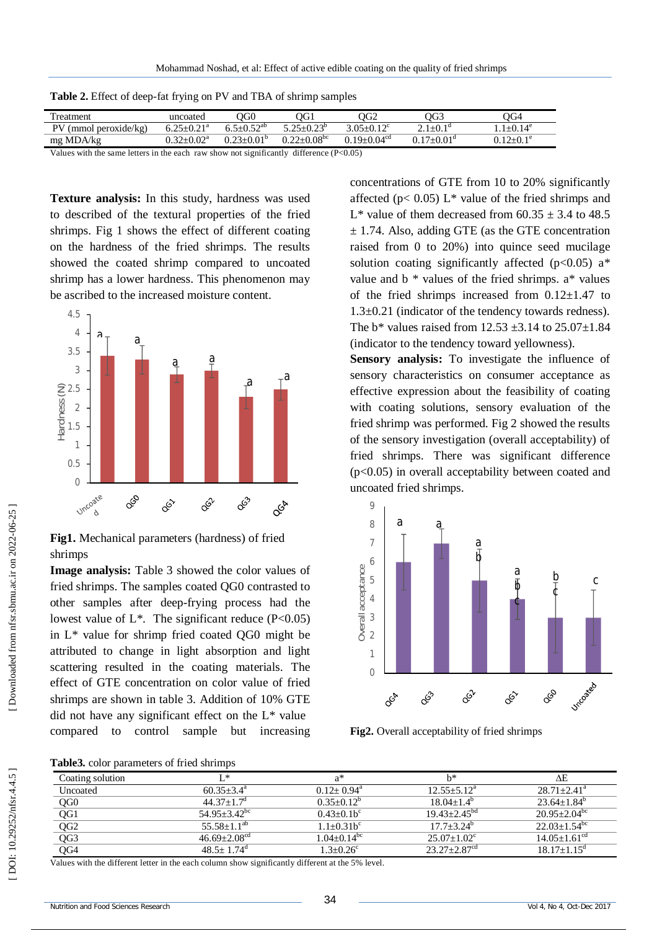| Treatment                                                                                 | uncoated                     | OOC                          | ЭG1                         | OG2                         | OG3                 | $\overline{O}G4$ |
|-------------------------------------------------------------------------------------------|------------------------------|------------------------------|-----------------------------|-----------------------------|---------------------|------------------|
| $PV$ (mmol peroxide/kg)                                                                   | $6.25 \pm 0.21$ <sup>a</sup> | $6.5 + 0.52$ <sup>ab</sup>   | $5.25 + 0.23^{\circ}$       | $3.05 + 0.12$ <sup>c</sup>  | $2.1 + 0.1d$        | $1+0.14^e$       |
| mg MDA/kg                                                                                 | $0.32 + 0.02^a$              | $0.23 \pm 0.01$ <sup>p</sup> | $0.22 + 0.08$ <sup>bc</sup> | $0.19 + 0.04$ <sup>cd</sup> | $0.17+0.01^{\circ}$ | $0.12+0.1^e$     |
| Values with the same letters in the each raw show not significantly difference $(D<0.05)$ |                              |                              |                             |                             |                     |                  |

**Table 2.** Effect of deep -fat frying on PV and TBA of shrimp samples

with the same letters in the each raw show not significantly difference  $(P<0.05)$ 

**Texture analysis:** In this study, hardness was used to described of the textural properties of the fried shrimps. Fig 1 shows the effect of different coating on the hardness of the fried shrimps. The results showed the coated shrimp compared to uncoated shrimp has a lower hardness. This phenomenon may be ascribed to the increased moisture content.



**Fig1.** Mechanical parameters (hardness) of fried shrimps

**Image analysis:** Table 3 showed the color values of fried shrimps. The samples coated QG0 contrasted to other samples after deep -frying process had the lowest value of  $L^*$ . The significant reduce (P<0.05) in L\* value for shrimp fried coated QG0 might be attributed to change in light absorption and light scattering resulted in the coating materials. The effect of GTE concentration on color value of fried shrimps are shown in table 3. Addition of 10% GTE did not have any significant effect on the  $L^*$  value compared to control sample but increasing **Fig1.** Mechanical parameters (hardness) of fried<br>
shrimps<br> **Fig1.** Mechanical parameters (hardness) of fried<br>
shrimps The samples coated QG0 contrasted to<br>
other samples after deep-frying process had the<br>
lowest value of

concentrations of GTE from 10 to 20% significantly affected ( $p$ < 0.05) L<sup>\*</sup> value of the fried shrimps and L<sup>\*</sup> value of them decreased from  $60.35 \pm 3.4$  to 48.5  $\pm$  1.74. Also, adding GTE (as the GTE concentration raised from 0 to 20%) into quince seed mucilage solution coating significantly affected ( $p<0.05$ ) a<sup>\*</sup> value and  $b *$  values of the fried shrimps.  $a *$  values of the fried shrimps increased from  $0.12 \pm 1.47$  to 1.3±0.21 (indicator of the tendency towards redness). The  $b^*$  values raised from 12.53  $\pm$ 3.14 to 25.07 $\pm$ 1.84 (indicator to the tendency toward yellowness).

**Sensory analysis:** To investigate the influence of sensory characteristics on consumer acceptance as effective expression about the feasibility of coating with coating solutions, sensory evaluation of the fried shrimp was performed. Fig 2 showed the results of the sensory investigation (overall acceptability) of fried shrimps. There was significant difference (p<0.05) in overall acceptability between coated and uncoated fried shrimps.



**Fig2.** Overall acceptability of fried shrimps

**Table3.** color parameters of fried shrimps

| Coating solution | T *                          | a*                          | h*                            | ΛE                             |
|------------------|------------------------------|-----------------------------|-------------------------------|--------------------------------|
| Uncoated         | $60.35 + 3.4^{\circ}$        | $0.12+0.94^{\text{a}}$      | $12.55 + 5.12^a$              | $28.71 + 2.41^a$               |
| QG <sub>0</sub>  | $44.37 + 1.7d$               | $0.35+0.12^b$               | $18.04 + 1.4^b$               | $23.64 + 1.84^b$               |
| QG1              | $54.95 + 3.42$ <sup>bc</sup> | $0.43+0.1b^c$               | $19.43 + 2.45^{bd}$           | $20.95 + 2.04$ <sup>bc</sup>   |
| QG <sub>2</sub>  | $55.58 + 1.1^{ab}$           | $1.1 + 0.31b^c$             | $17.7 + 3.24^b$               | $22.03 \pm 1.54$ <sup>bc</sup> |
| QG3              | $46.69 + 2.08^{cd}$          | $1.04 + 0.14$ <sup>bc</sup> | $25.07 \pm 1.02$ <sup>c</sup> | $14.05 + 1.61^{\text{cd}}$     |
| QG4              | $48.5 + 1.74$ <sup>d</sup>   | $1.3 + 0.26^c$              | $23.27 + 2.87$ <sup>cd</sup>  | $18.17 + 1.15^{\circ}$         |
|                  |                              |                             |                               |                                |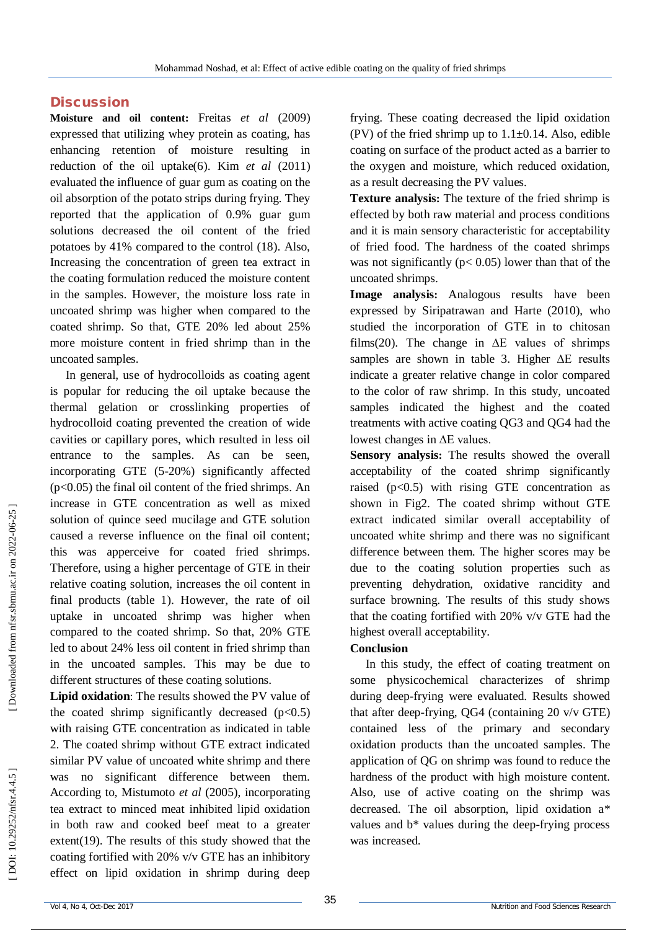#### **Discussion**

**Moisture and oil content:** Freitas *et al* (2009) expressed that utilizing whey protein as coating, has enhancing retention of moisture resulting in reduction of the oil uptake(6). Kim *et al* (2011) evaluated the influence of guar gum as coating on the oil absorption of the potato strips during frying. They reported that the application of 0.9% guar gum solutions decreased the oil content of the fried potatoes by 41% compared to the control (18) . Also, Increasing the concentration of green tea extract in the coating formulation reduced the moisture content in the samples. However, the moisture loss rate in uncoated shrimp was higher when compared to the coated shrimp. So that, GTE 20% led about 25% more moisture content in fried shrimp than in the uncoated samples.

In general, use of hydrocolloids as coating agent is popular for reducing the oil uptake because the thermal gelation or crosslinking properties of hydrocolloid coating prevented the creation of wide cavities or capillary pores, which resulted in less oil entrance to the samples. As can be seen, incorporating GTE (5 -20%) significantly affected  $(p<0.05)$  the final oil content of the fried shrimps. An increase in GTE concentration as well as mixed solution of quince seed mucilage and GTE solution caused a reverse influence on the final oil content; this was apperceive for coated fried shrimps. Therefore, using a higher percentage of GTE in their relative coating solution, increases the oil content in final products (table 1). However, the rate of oil uptake in uncoated shrimp was higher when compared to the coated shrimp. So that, 20% GTE led to about 24% less oil content in fried shrimp than in the uncoated samples. This may be due to different structures of these coating solutions.

**Lipid oxidation**: The results showed the PV value of the coated shrimp significantly decreased  $(p<0.5)$ with raising GTE concentration as indicated in table 2. The coated shrimp without GTE extract indicated similar PV value of uncoated white shrimp and there was no significant difference between them. According to, Mistumoto *et al* (2005), incorporating tea extract to minced meat inhibited lipid oxidation in both raw and cooked beef meat to a greater extent(19). The results of this study showed that the coating fortified with 20% v/v GTE has an inhibitory effect on lipid oxidation in shrimp during deep

frying. These coating decreased the lipid oxidation (PV) of the fried shrimp up to  $1.1\pm0.14$ . Also, edible coating on surface of the product acted as a barrier to the oxygen and moisture, which reduced oxidation, as a result decreasing the PV values.

**Texture analysis:** The texture of the fried shrimp is effected by both raw material and process conditions and it is main sensory characteristic for acceptability of fried food. The hardness of the coated shrimps was not significantly ( $p < 0.05$ ) lower than that of the uncoated shrimps.

**Image analysis:** Analogous results have been expressed by Siripatrawan and Harte (2010), who studied the incorporation of GTE in to chitosan films(20). The change in  $\Delta E$  values of shrimps samples are shown in table 3. Higher ∆E results indicate a greater relative change in color compared to the color of raw shrimp. In this study, uncoated samples indicated the highest and the coated treatments with active coating QG3 and QG4 had the lowest changes in ∆E values.

**Sensory analysis:** The results showed the overall acceptability of the coated shrimp significantly raised  $(p<0.5)$  with rising GTE concentration as shown in Fig2. The coated shrimp without GTE extract indicated similar overall acceptability of uncoated white shrimp and there was no significant difference between them. The higher scores may be due to the coating solution properties such as preventing dehydration, oxidative rancidity and surface browning. The results of this study shows that the coating fortified with 20% v/v GTE had the highest overall acceptability.

#### **Conclusion**

In this study, the effect of coating treatment on some physicochemical characterizes of shrimp during deep -frying were evaluated. Results showed that after deep -frying, QG4 (containing 20 v/v GTE) contained less of the primary and secondary oxidation products than the uncoated samples. The application of QG on shrimp was found to reduce the hardness of the product with high moisture content. Also, use of active coating on the shrimp was decreased. The oil absorption, lipid oxidation a\* values and b\* values during the deep -frying process was increased.